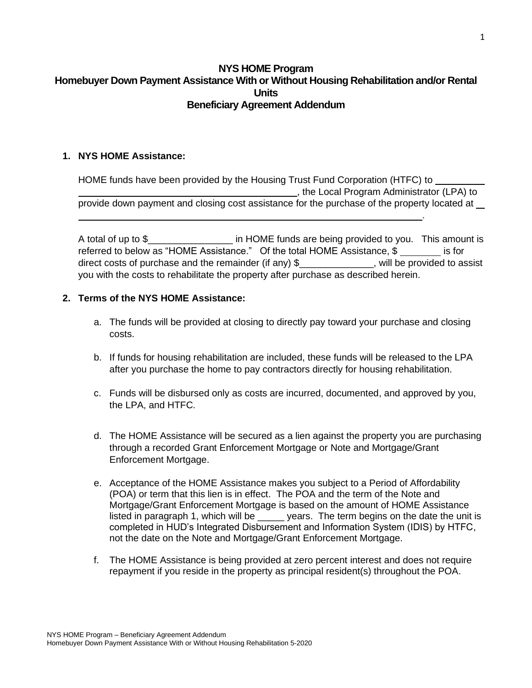### **NYS HOME Program Homebuyer Down Payment Assistance With or Without Housing Rehabilitation and/or Rental Units Beneficiary Agreement Addendum**

#### **1. NYS HOME Assistance:**

HOME funds have been provided by the Housing Trust Fund Corporation (HTFC) to **FIRM 2018**, the Local Program Administrator (LPA) to provide down payment and closing cost assistance for the purchase of the property located at

A total of up to \$\_\_\_\_\_\_\_\_\_\_\_\_\_\_\_\_\_\_\_\_ in HOME funds are being provided to you. This amount is referred to below as "HOME Assistance." Of the total HOME Assistance, \$ is for direct costs of purchase and the remainder (if any)  $\frac{1}{2}$  \_\_\_\_\_\_\_\_\_\_\_\_, will be provided to assist you with the costs to rehabilitate the property after purchase as described herein.

### **2. Terms of the NYS HOME Assistance:**

- a. The funds will be provided at closing to directly pay toward your purchase and closing costs.
- b. If funds for housing rehabilitation are included, these funds will be released to the LPA after you purchase the home to pay contractors directly for housing rehabilitation.
- c. Funds will be disbursed only as costs are incurred, documented, and approved by you, the LPA, and HTFC.
- d. The HOME Assistance will be secured as a lien against the property you are purchasing through a recorded Grant Enforcement Mortgage or Note and Mortgage/Grant Enforcement Mortgage.
- e. Acceptance of the HOME Assistance makes you subject to a Period of Affordability (POA) or term that this lien is in effect. The POA and the term of the Note and Mortgage/Grant Enforcement Mortgage is based on the amount of HOME Assistance listed in paragraph 1, which will be \_\_\_\_\_ years. The term begins on the date the unit is completed in HUD's Integrated Disbursement and Information System (IDIS) by HTFC, not the date on the Note and Mortgage/Grant Enforcement Mortgage.
- f. The HOME Assistance is being provided at zero percent interest and does not require repayment if you reside in the property as principal resident(s) throughout the POA.

.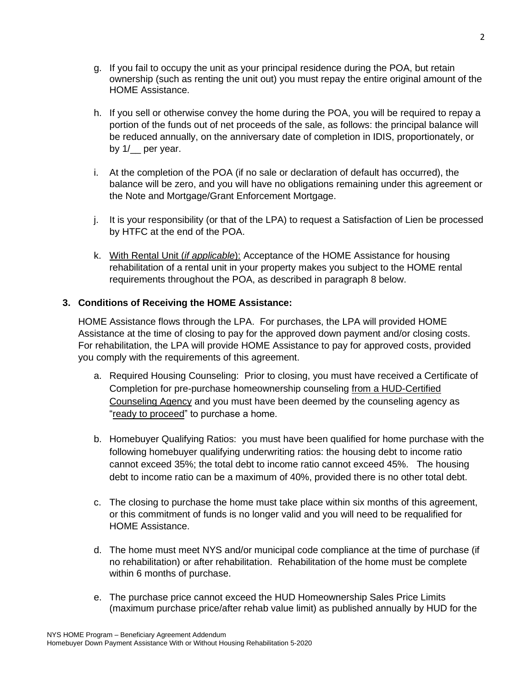- g. If you fail to occupy the unit as your principal residence during the POA, but retain ownership (such as renting the unit out) you must repay the entire original amount of the HOME Assistance.
- h. If you sell or otherwise convey the home during the POA, you will be required to repay a portion of the funds out of net proceeds of the sale, as follows: the principal balance will be reduced annually, on the anniversary date of completion in IDIS, proportionately, or by 1/ per year.
- i. At the completion of the POA (if no sale or declaration of default has occurred), the balance will be zero, and you will have no obligations remaining under this agreement or the Note and Mortgage/Grant Enforcement Mortgage.
- j. It is your responsibility (or that of the LPA) to request a Satisfaction of Lien be processed by HTFC at the end of the POA.
- k. With Rental Unit (*if applicable*): Acceptance of the HOME Assistance for housing rehabilitation of a rental unit in your property makes you subject to the HOME rental requirements throughout the POA, as described in paragraph 8 below.

# **3. Conditions of Receiving the HOME Assistance:**

HOME Assistance flows through the LPA. For purchases, the LPA will provided HOME Assistance at the time of closing to pay for the approved down payment and/or closing costs. For rehabilitation, the LPA will provide HOME Assistance to pay for approved costs, provided you comply with the requirements of this agreement.

- a. Required Housing Counseling: Prior to closing, you must have received a Certificate of Completion for pre-purchase homeownership counseling from a HUD-Certified Counseling Agency and you must have been deemed by the counseling agency as "ready to proceed" to purchase a home.
- b. Homebuyer Qualifying Ratios: you must have been qualified for home purchase with the following homebuyer qualifying underwriting ratios: the housing debt to income ratio cannot exceed 35%; the total debt to income ratio cannot exceed 45%. The housing debt to income ratio can be a maximum of 40%, provided there is no other total debt.
- c. The closing to purchase the home must take place within six months of this agreement, or this commitment of funds is no longer valid and you will need to be requalified for HOME Assistance.
- d. The home must meet NYS and/or municipal code compliance at the time of purchase (if no rehabilitation) or after rehabilitation. Rehabilitation of the home must be complete within 6 months of purchase.
- e. The purchase price cannot exceed the HUD Homeownership Sales Price Limits (maximum purchase price/after rehab value limit) as published annually by HUD for the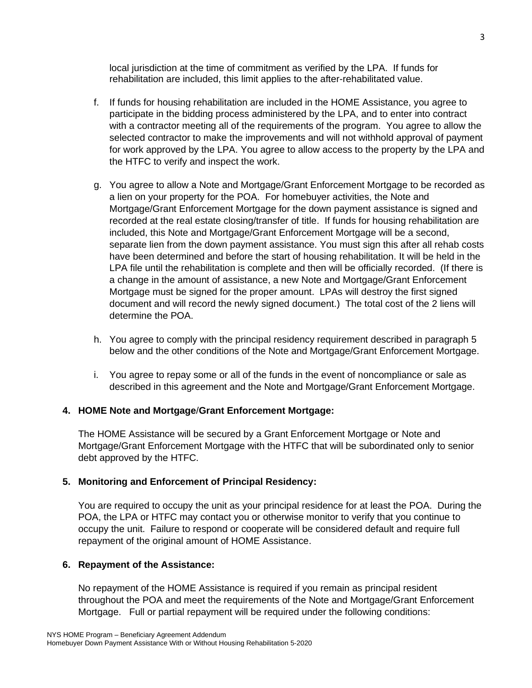local jurisdiction at the time of commitment as verified by the LPA. If funds for rehabilitation are included, this limit applies to the after-rehabilitated value.

- f. If funds for housing rehabilitation are included in the HOME Assistance, you agree to participate in the bidding process administered by the LPA, and to enter into contract with a contractor meeting all of the requirements of the program. You agree to allow the selected contractor to make the improvements and will not withhold approval of payment for work approved by the LPA. You agree to allow access to the property by the LPA and the HTFC to verify and inspect the work.
- g. You agree to allow a Note and Mortgage/Grant Enforcement Mortgage to be recorded as a lien on your property for the POA. For homebuyer activities, the Note and Mortgage/Grant Enforcement Mortgage for the down payment assistance is signed and recorded at the real estate closing/transfer of title. If funds for housing rehabilitation are included, this Note and Mortgage/Grant Enforcement Mortgage will be a second, separate lien from the down payment assistance. You must sign this after all rehab costs have been determined and before the start of housing rehabilitation. It will be held in the LPA file until the rehabilitation is complete and then will be officially recorded. (If there is a change in the amount of assistance, a new Note and Mortgage/Grant Enforcement Mortgage must be signed for the proper amount. LPAs will destroy the first signed document and will record the newly signed document.) The total cost of the 2 liens will determine the POA.
- h. You agree to comply with the principal residency requirement described in paragraph 5 below and the other conditions of the Note and Mortgage/Grant Enforcement Mortgage.
- i. You agree to repay some or all of the funds in the event of noncompliance or sale as described in this agreement and the Note and Mortgage/Grant Enforcement Mortgage.

### **4. HOME Note and Mortgage**/**Grant Enforcement Mortgage:**

The HOME Assistance will be secured by a Grant Enforcement Mortgage or Note and Mortgage/Grant Enforcement Mortgage with the HTFC that will be subordinated only to senior debt approved by the HTFC.

### **5. Monitoring and Enforcement of Principal Residency:**

You are required to occupy the unit as your principal residence for at least the POA. During the POA, the LPA or HTFC may contact you or otherwise monitor to verify that you continue to occupy the unit. Failure to respond or cooperate will be considered default and require full repayment of the original amount of HOME Assistance.

### **6. Repayment of the Assistance:**

No repayment of the HOME Assistance is required if you remain as principal resident throughout the POA and meet the requirements of the Note and Mortgage/Grant Enforcement Mortgage. Full or partial repayment will be required under the following conditions: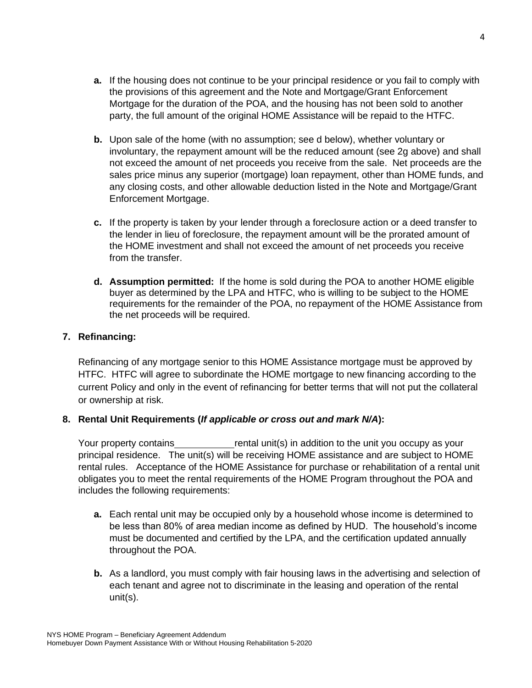- **a.** If the housing does not continue to be your principal residence or you fail to comply with the provisions of this agreement and the Note and Mortgage/Grant Enforcement Mortgage for the duration of the POA, and the housing has not been sold to another party, the full amount of the original HOME Assistance will be repaid to the HTFC.
- **b.** Upon sale of the home (with no assumption; see d below), whether voluntary or involuntary, the repayment amount will be the reduced amount (see 2g above) and shall not exceed the amount of net proceeds you receive from the sale. Net proceeds are the sales price minus any superior (mortgage) loan repayment, other than HOME funds, and any closing costs, and other allowable deduction listed in the Note and Mortgage/Grant Enforcement Mortgage.
- **c.** If the property is taken by your lender through a foreclosure action or a deed transfer to the lender in lieu of foreclosure, the repayment amount will be the prorated amount of the HOME investment and shall not exceed the amount of net proceeds you receive from the transfer.
- **d. Assumption permitted:** If the home is sold during the POA to another HOME eligible buyer as determined by the LPA and HTFC, who is willing to be subject to the HOME requirements for the remainder of the POA, no repayment of the HOME Assistance from the net proceeds will be required.

### **7. Refinancing:**

Refinancing of any mortgage senior to this HOME Assistance mortgage must be approved by HTFC. HTFC will agree to subordinate the HOME mortgage to new financing according to the current Policy and only in the event of refinancing for better terms that will not put the collateral or ownership at risk.

# **8. Rental Unit Requirements (***If applicable or cross out and mark N/A***):**

Your property contains rental unit(s) in addition to the unit you occupy as your principal residence. The unit(s) will be receiving HOME assistance and are subject to HOME rental rules. Acceptance of the HOME Assistance for purchase or rehabilitation of a rental unit obligates you to meet the rental requirements of the HOME Program throughout the POA and includes the following requirements:

- **a.** Each rental unit may be occupied only by a household whose income is determined to be less than 80% of area median income as defined by HUD. The household's income must be documented and certified by the LPA, and the certification updated annually throughout the POA.
- **b.** As a landlord, you must comply with fair housing laws in the advertising and selection of each tenant and agree not to discriminate in the leasing and operation of the rental unit(s).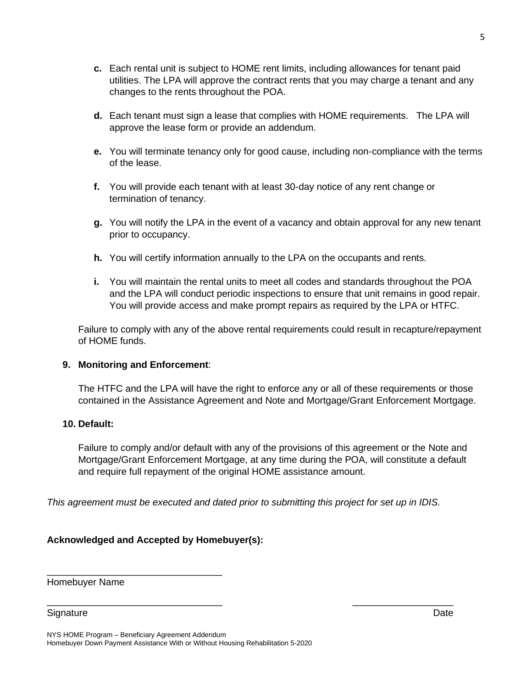- **c.** Each rental unit is subject to HOME rent limits, including allowances for tenant paid utilities. The LPA will approve the contract rents that you may charge a tenant and any changes to the rents throughout the POA.
- **d.** Each tenant must sign a lease that complies with HOME requirements. The LPA will approve the lease form or provide an addendum.
- **e.** You will terminate tenancy only for good cause, including non-compliance with the terms of the lease.
- **f.** You will provide each tenant with at least 30-day notice of any rent change or termination of tenancy.
- **g.** You will notify the LPA in the event of a vacancy and obtain approval for any new tenant prior to occupancy.
- **h.** You will certify information annually to the LPA on the occupants and rents.
- **i.** You will maintain the rental units to meet all codes and standards throughout the POA and the LPA will conduct periodic inspections to ensure that unit remains in good repair. You will provide access and make prompt repairs as required by the LPA or HTFC.

Failure to comply with any of the above rental requirements could result in recapture/repayment of HOME funds.

### **9. Monitoring and Enforcement**:

The HTFC and the LPA will have the right to enforce any or all of these requirements or those contained in the Assistance Agreement and Note and Mortgage/Grant Enforcement Mortgage.

### **10. Default:**

Failure to comply and/or default with any of the provisions of this agreement or the Note and Mortgage/Grant Enforcement Mortgage, at any time during the POA, will constitute a default and require full repayment of the original HOME assistance amount.

*This agreement must be executed and dated prior to submitting this project for set up in IDIS.*

\_\_\_\_\_\_\_\_\_\_\_\_\_\_\_\_\_\_\_\_\_\_\_\_\_\_\_\_\_\_\_\_\_ \_\_\_\_\_\_\_\_\_\_\_\_\_\_\_\_\_\_\_

# **Acknowledged and Accepted by Homebuyer(s):**

\_\_\_\_\_\_\_\_\_\_\_\_\_\_\_\_\_\_\_\_\_\_\_\_\_\_\_\_\_\_\_\_\_

Homebuyer Name

Signature Date

NYS HOME Program – Beneficiary Agreement Addendum Homebuyer Down Payment Assistance With or Without Housing Rehabilitation 5-2020